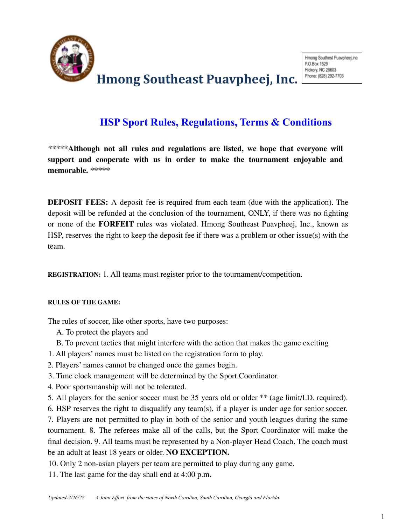

### **HSP Sport Rules, Regulations, Terms & Conditions**

**\*\*\*\*\*Although not all rules and regulations are listed, we hope that everyone will support and cooperate with us in order to make the tournament enjoyable and memorable. \*\*\*\*\***

**DEPOSIT FEES:** A deposit fee is required from each team (due with the application). The deposit will be refunded at the conclusion of the tournament, ONLY, if there was no fighting or none of the **FORFEIT** rules was violated. Hmong Southeast Puavpheej, Inc., known as HSP, reserves the right to keep the deposit fee if there was a problem or other issue(s) with the team.

**REGISTRATION:** 1. All teams must register prior to the tournament/competition.

#### **RULES OF THE GAME:**

The rules of soccer, like other sports, have two purposes:

- A. To protect the players and
- B. To prevent tactics that might interfere with the action that makes the game exciting
- 1. All players' names must be listed on the registration form to play.
- 2. Players' names cannot be changed once the games begin.
- 3. Time clock management will be determined by the Sport Coordinator.
- 4. Poor sportsmanship will not be tolerated.
- 5. All players for the senior soccer must be 35 years old or older \*\* (age limit/I.D. required).

6. HSP reserves the right to disqualify any team(s), if a player is under age for senior soccer. 7. Players are not permitted to play in both of the senior and youth leagues during the same tournament. 8. The referees make all of the calls, but the Sport Coordinator will make the final decision. 9. All teams must be represented by a Non-player Head Coach. The coach must be an adult at least 18 years or older. **NO EXCEPTION.**

10. Only 2 non-asian players per team are permitted to play during any game.

11. The last game for the day shall end at 4:00 p.m.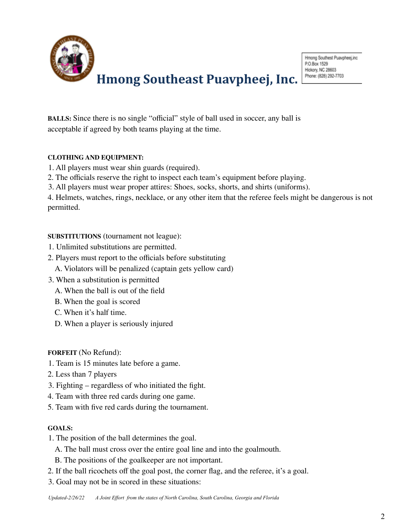

**BALLS:** Since there is no single "official" style of ball used in soccer, any ball is acceptable if agreed by both teams playing at the time.

### **CLOTHING AND EQUIPMENT:**

- 1. All players must wear shin guards (required).
- 2. The officials reserve the right to inspect each team's equipment before playing.
- 3. All players must wear proper attires: Shoes, socks, shorts, and shirts (uniforms).

4. Helmets, watches, rings, necklace, or any other item that the referee feels might be dangerous is not permitted.

### **SUBSTITUTIONS** (tournament not league):

- 1. Unlimited substitutions are permitted.
- 2. Players must report to the officials before substituting
	- A. Violators will be penalized (captain gets yellow card)
- 3. When a substitution is permitted
	- A. When the ball is out of the field
	- B. When the goal is scored
	- C. When it's half time.
	- D. When a player is seriously injured

### **FORFEIT** (No Refund):

- 1. Team is 15 minutes late before a game.
- 2. Less than 7 players
- 3. Fighting regardless of who initiated the fight.
- 4. Team with three red cards during one game.
- 5. Team with five red cards during the tournament.

### **GOALS:**

- 1. The position of the ball determines the goal.
	- A. The ball must cross over the entire goal line and into the goalmouth.
	- B. The positions of the goalkeeper are not important.
- 2. If the ball ricochets off the goal post, the corner flag, and the referee, it's a goal.
- 3. Goal may not be in scored in these situations: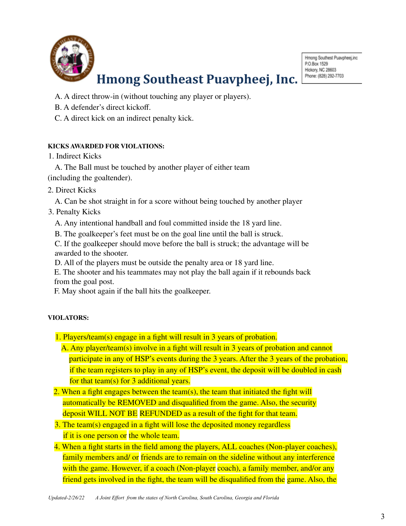

Hmong Southest Puavpheej,inc P.O.Box 1529 Hickory, NC 28603 Phone: (828) 292-7703

- A. A direct throw-in (without touching any player or players).
- B. A defender's direct kickoff.
- C. A direct kick on an indirect penalty kick.

### **KICKS AWARDED FOR VIOLATIONS:**

### 1. Indirect Kicks

A. The Ball must be touched by another player of either team (including the goaltender).

- 2. Direct Kicks
	- A. Can be shot straight in for a score without being touched by another player
- 3. Penalty Kicks
	- A. Any intentional handball and foul committed inside the 18 yard line.
	- B. The goalkeeper's feet must be on the goal line until the ball is struck.

C. If the goalkeeper should move before the ball is struck; the advantage will be awarded to the shooter.

D. All of the players must be outside the penalty area or 18 yard line.

E. The shooter and his teammates may not play the ball again if it rebounds back from the goal post.

F. May shoot again if the ball hits the goalkeeper.

### **VIOLATORS:**

- 1. Players/team(s) engage in a fight will result in 3 years of probation.
	- A. Any player/team(s) involve in a fight will result in 3 years of probation and cannot participate in any of HSP's events during the 3 years. After the 3 years of the probation, if the team registers to play in any of HSP's event, the deposit will be doubled in cash for that team(s) for 3 additional years.
- 2. When a fight engages between the team(s), the team that initiated the fight will automatically be REMOVED and disqualified from the game. Also, the security deposit WILL NOT BE REFUNDED as a result of the fight for that team.
- 3. The team(s) engaged in a fight will lose the deposited money regardless if it is one person or the whole team.
- 4. When a fight starts in the field among the players, ALL coaches (Non-player coaches), family members and/ or friends are to remain on the sideline without any interference with the game. However, if a coach (Non-player coach), a family member, and/or any friend gets involved in the fight, the team will be disqualified from the game. Also, the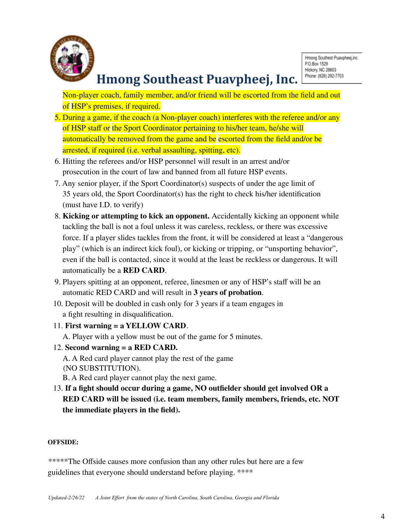

Non-player coach, family member, and/or friend will be escorted from the field and out of HSP's premises, if required.

- 5. During a game, if the coach (a Non-player coach) interferes with the referee and/or any of HSP staff or the Sport Coordinator pertaining to his/her team, he/she will automatically be removed from the game and be escorted from the field and/or be arrested, if required (i.e. verbal assaulting, spitting, etc).
- 6. Hitting the referees and/or HSP personnel will result in an arrest and/or prosecution in the court of law and banned from all future HSP events.
- 7. Any senior player, if the Sport Coordinator(s) suspects of under the age limit of 35 years old, the Sport Coordinator(s) has the right to check his/her identification (must have I.D. to verify)
- 8. **Kicking or attempting to kick an opponent.** Accidentally kicking an opponent while tackling the ball is not a foul unless it was careless, reckless, or there was excessive force. If a player slides tackles from the front, it will be considered at least a "dangerous play" (which is an indirect kick foul), or kicking or tripping, or "unsporting behavior", even if the ball is contacted, since it would at the least be reckless or dangerous. It will automatically be a **RED CARD**.
- 9. Players spitting at an opponent, referee, linesmen or any of HSP's staff will be an automatic RED CARD and will result in **3 years of probation**.
- 10. Deposit will be doubled in cash only for 3 years if a team engages in a fight resulting in disqualification.
- 11. **First warning = a YELLOW CARD**.
	- A. Player with a yellow must be out of the game for 5 minutes.
- 12. **Second warning = a RED CARD.**
	- A. A Red card player cannot play the rest of the game (NO SUBSTITUTION).
	- B. A Red card player cannot play the next game.
- 13. **If a fight should occur during a game, NO outfielder should get involved OR a RED CARD will be issued (i.e. team members, family members, friends, etc. NOT the immediate players in the field).**

### **OFFSIDE:**

\*\*\*\*\*The Offside causes more confusion than any other rules but here are a few guidelines that everyone should understand before playing. \*\*\*\*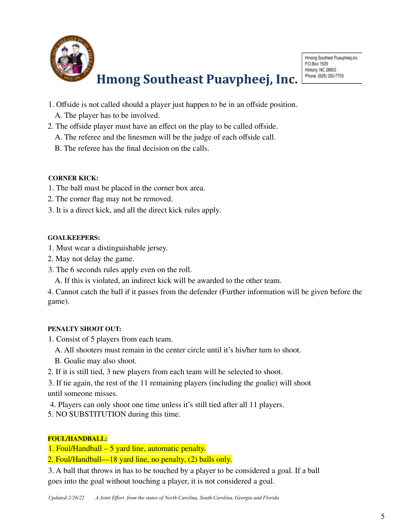

- 1. Offside is not called should a player just happen to be in an offside position.
	- A. The player has to be involved.
- 2. The offside player must have an effect on the play to be called offside.
	- A. The referee and the linesmen will be the judge of each offside call.
	- B. The referee has the final decision on the calls.

### **CORNER KICK:**

- 1. The ball must be placed in the corner box area.
- 2. The corner flag may not be removed.
- 3. It is a direct kick, and all the direct kick rules apply.

### **GOALKEEPERS:**

- 1. Must wear a distinguishable jersey.
- 2. May not delay the game.
- 3. The 6 seconds rules apply even on the roll.
	- A. If this is violated, an indirect kick will be awarded to the other team.

4. Cannot catch the ball if it passes from the defender (Further information will be given before the game).

### **PENALTY SHOOT OUT:**

- 1. Consist of 5 players from each team.
	- A. All shooters must remain in the center circle until it's his/her turn to shoot.
	- B. Goalie may also shoot.
- 2. If it is still tied, 3 new players from each team will be selected to shoot.
- 3. If tie again, the rest of the 11 remaining players (including the goalie) will shoot until someone misses.
- 4. Players can only shoot one time unless it's still tied after all 11 players.
- 5. NO SUBSTITUTION during this time.

### **FOUL/HANDBALL:**

1. Foul/Handball – 5 yard line, automatic penalty.

2. Foul/Handball—18 yard line, no penalty, (2) balls only.

3. A ball that throws in has to be touched by a player to be considered a goal. If a ball goes into the goal without touching a player, it is not considered a goal.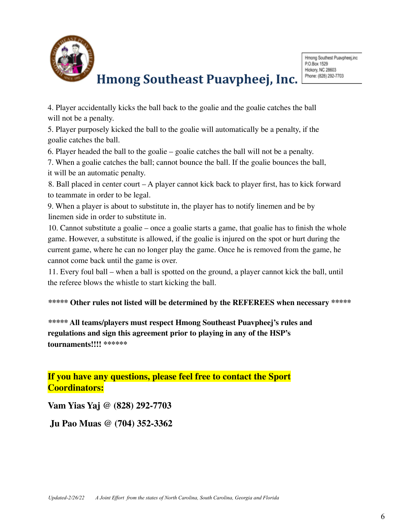

4. Player accidentally kicks the ball back to the goalie and the goalie catches the ball will not be a penalty.

5. Player purposely kicked the ball to the goalie will automatically be a penalty, if the goalie catches the ball.

6. Player headed the ball to the goalie – goalie catches the ball will not be a penalty.

7. When a goalie catches the ball; cannot bounce the ball. If the goalie bounces the ball,

it will be an automatic penalty.

8. Ball placed in center court – A player cannot kick back to player first, has to kick forward to teammate in order to be legal.

9. When a player is about to substitute in, the player has to notify linemen and be by linemen side in order to substitute in.

10. Cannot substitute a goalie – once a goalie starts a game, that goalie has to finish the whole game. However, a substitute is allowed, if the goalie is injured on the spot or hurt during the current game, where he can no longer play the game. Once he is removed from the game, he cannot come back until the game is over.

11. Every foul ball – when a ball is spotted on the ground, a player cannot kick the ball, until the referee blows the whistle to start kicking the ball.

### **\*\*\*\*\* Other rules not listed will be determined by the REFEREES when necessary \*\*\*\*\***

**\*\*\*\*\* All teams/players must respect Hmong Southeast Puavpheej's rules and regulations and sign this agreement prior to playing in any of the HSP's tournaments!!!! \*\*\*\*\*\***

**If you have any questions, please feel free to contact the Sport Coordinators:**

**Vam Yias Yaj @ (828) 292-7703**

**Ju Pao Muas @ (704) 352-3362**